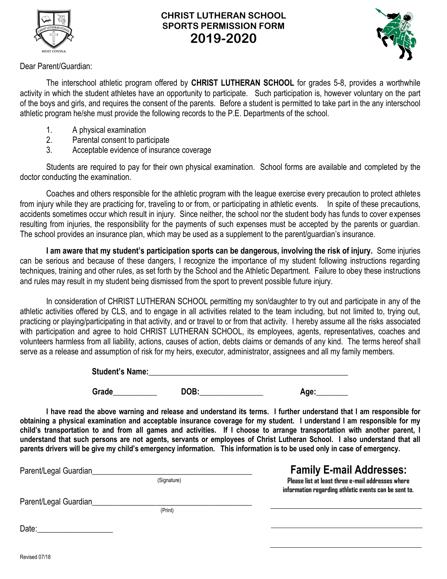

## **CHRIST LUTHERAN SCHOOL SPORTS PERMISSION FORM 2019-2020**



Dear Parent/Guardian:

The interschool athletic program offered by **CHRIST LUTHERAN SCHOOL** for grades 5-8, provides a worthwhile activity in which the student athletes have an opportunity to participate. Such participation is, however voluntary on the part of the boys and girls, and requires the consent of the parents. Before a student is permitted to take part in the any interschool athletic program he/she must provide the following records to the P.E. Departments of the school.

- 1. A physical examination
- 2. Parental consent to participate
- 3. Acceptable evidence of insurance coverage

Students are required to pay for their own physical examination. School forms are available and completed by the doctor conducting the examination.

Coaches and others responsible for the athletic program with the league exercise every precaution to protect athletes from injury while they are practicing for, traveling to or from, or participating in athletic events. In spite of these precautions, accidents sometimes occur which result in injury. Since neither, the school nor the student body has funds to cover expenses resulting from injuries, the responsibility for the payments of such expenses must be accepted by the parents or guardian. The school provides an insurance plan, which may be used as a supplement to the parent/guardian's insurance.

**I am aware that my student's participation sports can be dangerous, involving the risk of injury.** Some injuries can be serious and because of these dangers, I recognize the importance of my student following instructions regarding techniques, training and other rules, as set forth by the School and the Athletic Department. Failure to obey these instructions and rules may result in my student being dismissed from the sport to prevent possible future injury.

In consideration of CHRIST LUTHERAN SCHOOL permitting my son/daughter to try out and participate in any of the athletic activities offered by CLS, and to engage in all activities related to the team including, but not limited to, trying out, practicing or playing/participating in that activity, and or travel to or from that activity. I hereby assume all the risks associated with participation and agree to hold CHRIST LUTHERAN SCHOOL, its employees, agents, representatives, coaches and volunteers harmless from all liability, actions, causes of action, debts claims or demands of any kind. The terms hereof shall serve as a release and assumption of risk for my heirs, executor, administrator, assignees and all my family members.

| <b>Student's Name:</b> |  |
|------------------------|--|
|                        |  |

**Grade\_\_\_\_\_\_\_\_\_\_\_ DOB:\_\_\_\_\_\_\_\_\_\_\_\_\_\_\_\_ Age:\_\_\_\_\_\_\_\_**

**I have read the above warning and release and understand its terms. I further understand that I am responsible for obtaining a physical examination and acceptable insurance coverage for my student. I understand I am responsible for my child's transportation to and from all games and activities. If I choose to arrange transportation with another parent, I understand that such persons are not agents, servants or employees of Christ Lutheran School. I also understand that all parents drivers will be give my child's emergency information. This information is to be used only in case of emergency.** 

| Parent/Legal Guardian |             | <b>Family E-mail Addresses:</b>                                                                            |
|-----------------------|-------------|------------------------------------------------------------------------------------------------------------|
|                       | (Signature) | Please list at least three e-mail addresses where<br>information regarding athletic events can be sent to. |
| Parent/Legal Guardian |             |                                                                                                            |
|                       | (Print)     |                                                                                                            |
| Date:                 |             |                                                                                                            |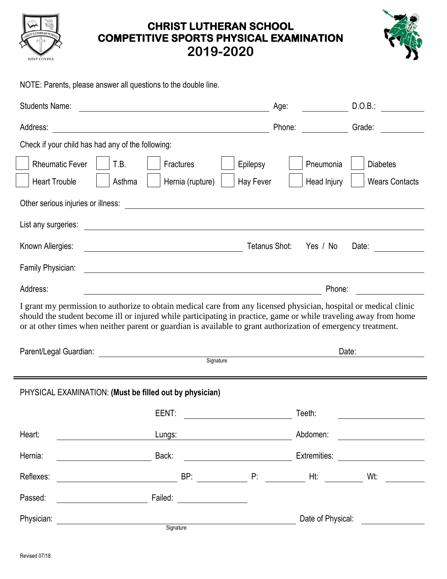

# **CHRIST LUTHERAN SCHOOL COMPETITIVE SPORTS PHYSICAL EXAMINATION 2019-2020**



NOTE: Parents, please answer all questions to the double line.

| <b>Students Name:</b>                                                                                                                                                                                                                                                                                                                                  | D.O.B.:<br>Age:                                                                                                                                                                                                                               |  |  |  |  |
|--------------------------------------------------------------------------------------------------------------------------------------------------------------------------------------------------------------------------------------------------------------------------------------------------------------------------------------------------------|-----------------------------------------------------------------------------------------------------------------------------------------------------------------------------------------------------------------------------------------------|--|--|--|--|
| Address:<br><u> 1980 - Johann Barn, mars ar breithinn ar chomhair an t-Alban ann an t-Alban ann an t-Alban ann an t-Alban an</u>                                                                                                                                                                                                                       | <b>Sande:</b> School School School School School School School School School School School School School School School School School School School School School School School School School School School School School School Sch<br>Phone: |  |  |  |  |
| Check if your child has had any of the following:                                                                                                                                                                                                                                                                                                      |                                                                                                                                                                                                                                               |  |  |  |  |
| <b>Rheumatic Fever</b><br>T.B.<br>Fractures<br>Epilepsy                                                                                                                                                                                                                                                                                                | Pneumonia<br><b>Diabetes</b>                                                                                                                                                                                                                  |  |  |  |  |
| <b>Heart Trouble</b><br>Asthma<br>Hernia (rupture)                                                                                                                                                                                                                                                                                                     | Hay Fever<br>Head Injury<br><b>Wears Contacts</b>                                                                                                                                                                                             |  |  |  |  |
| Other serious injuries or illness:                                                                                                                                                                                                                                                                                                                     | <u> 1989 - John Amerikaanse kommunister († 1958)</u>                                                                                                                                                                                          |  |  |  |  |
| List any surgeries:                                                                                                                                                                                                                                                                                                                                    |                                                                                                                                                                                                                                               |  |  |  |  |
| Known Allergies:<br><u> 1989 - Johann Barn, fransk politik fotograf (d. 1989)</u>                                                                                                                                                                                                                                                                      | Tetanus Shot:<br>Yes / No<br>Date:                                                                                                                                                                                                            |  |  |  |  |
| Family Physician:<br><u> 1980 - Johann Barnett, fransk politik (f. 1980)</u>                                                                                                                                                                                                                                                                           |                                                                                                                                                                                                                                               |  |  |  |  |
| Address:<br><u> 1980 - Johann Barnett, fransk politik (d. 1980)</u>                                                                                                                                                                                                                                                                                    | Phone:<br><u> 1970 - Jan Barbara Barat, prima a</u>                                                                                                                                                                                           |  |  |  |  |
| I grant my permission to authorize to obtain medical care from any licensed physician, hospital or medical clinic<br>should the student become ill or injured while participating in practice, game or while traveling away from home<br>or at other times when neither parent or guardian is available to grant authorization of emergency treatment. |                                                                                                                                                                                                                                               |  |  |  |  |
| Parent/Legal Guardian: <u>Contract Communication</u> Signature Signature                                                                                                                                                                                                                                                                               | Date:                                                                                                                                                                                                                                         |  |  |  |  |
|                                                                                                                                                                                                                                                                                                                                                        |                                                                                                                                                                                                                                               |  |  |  |  |
| PHYSICAL EXAMINATION: (Must be filled out by physician)                                                                                                                                                                                                                                                                                                |                                                                                                                                                                                                                                               |  |  |  |  |
| EENT:                                                                                                                                                                                                                                                                                                                                                  | Teeth:                                                                                                                                                                                                                                        |  |  |  |  |
| Heart:<br>Lungs:                                                                                                                                                                                                                                                                                                                                       | Abdomen:                                                                                                                                                                                                                                      |  |  |  |  |
| Hernia:<br>Back:                                                                                                                                                                                                                                                                                                                                       | Extremities: ________________________                                                                                                                                                                                                         |  |  |  |  |
| Reflexes:                                                                                                                                                                                                                                                                                                                                              | Wt: $\qquad \qquad$                                                                                                                                                                                                                           |  |  |  |  |
| Passed:<br>Failed:<br><u> 1980 - Jan Barbara Barbara, política establecente de la propia de la propia de la propia de la propia de la p</u>                                                                                                                                                                                                            |                                                                                                                                                                                                                                               |  |  |  |  |
|                                                                                                                                                                                                                                                                                                                                                        |                                                                                                                                                                                                                                               |  |  |  |  |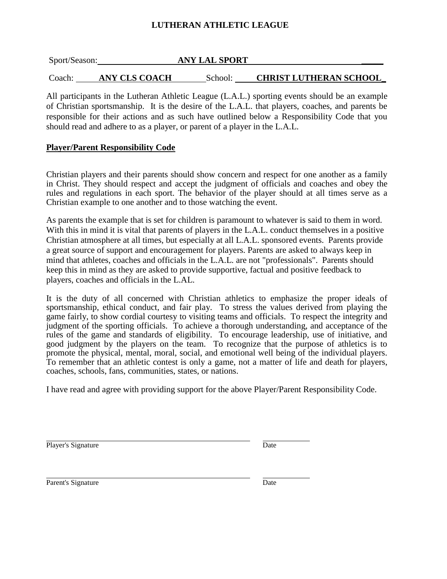## **LUTHERAN ATHLETIC LEAGUE**

| Sport/Season: |                      | <b>ANY LAL SPORT</b> |                               |
|---------------|----------------------|----------------------|-------------------------------|
| Coach:        | <b>ANY CLS COACH</b> | School:              | <b>CHRIST LUTHERAN SCHOOL</b> |

All participants in the Lutheran Athletic League (L.A.L.) sporting events should be an example of Christian sportsmanship. It is the desire of the L.A.L. that players, coaches, and parents be responsible for their actions and as such have outlined below a Responsibility Code that you should read and adhere to as a player, or parent of a player in the L.A.L.

## **Player/Parent Responsibility Code**

Christian players and their parents should show concern and respect for one another as a family in Christ. They should respect and accept the judgment of officials and coaches and obey the rules and regulations in each sport. The behavior of the player should at all times serve as a Christian example to one another and to those watching the event.

As parents the example that is set for children is paramount to whatever is said to them in word. With this in mind it is vital that parents of players in the L.A.L. conduct themselves in a positive Christian atmosphere at all times, but especially at all L.A.L. sponsored events. Parents provide a great source of support and encouragement for players. Parents are asked to always keep in mind that athletes, coaches and officials in the L.A.L. are not "professionals". Parents should keep this in mind as they are asked to provide supportive, factual and positive feedback to players, coaches and officials in the L.AL.

It is the duty of all concerned with Christian athletics to emphasize the proper ideals of sportsmanship, ethical conduct, and fair play. To stress the values derived from playing the game fairly, to show cordial courtesy to visiting teams and officials. To respect the integrity and judgment of the sporting officials. To achieve a thorough understanding, and acceptance of the rules of the game and standards of eligibility. To encourage leadership, use of initiative, and good judgment by the players on the team. To recognize that the purpose of athletics is to promote the physical, mental, moral, social, and emotional well being of the individual players. To remember that an athletic contest is only a game, not a matter of life and death for players, coaches, schools, fans, communities, states, or nations.

I have read and agree with providing support for the above Player/Parent Responsibility Code.

Player's Signature Date

Parent's Signature

| ۰.<br>×<br>۰, |
|---------------|